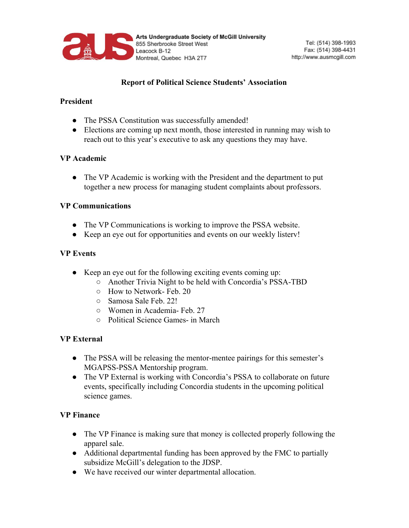

# **Report of Political Science Students' Association**

## **President**

- The PSSA Constitution was successfully amended!
- Elections are coming up next month, those interested in running may wish to reach out to this year's executive to ask any questions they may have.

## **VP Academic**

• The VP Academic is working with the President and the department to put together a new process for managing student complaints about professors.

#### **VP Communications**

- The VP Communications is working to improve the PSSA website.
- Keep an eye out for opportunities and events on our weekly listerv!

## **VP Events**

- Keep an eye out for the following exciting events coming up:
	- Another Trivia Night to be held with Concordia's PSSA-TBD
	- How to Network- Feb. 20
	- Samosa Sale Feb. 22!
	- Women in Academia- Feb. 27
	- Political Science Games- in March

## **VP External**

- The PSSA will be releasing the mentor-mentee pairings for this semester's MGAPSS-PSSA Mentorship program.
- The VP External is working with Concordia's PSSA to collaborate on future events, specifically including Concordia students in the upcoming political science games.

#### **VP Finance**

- The VP Finance is making sure that money is collected properly following the apparel sale.
- Additional departmental funding has been approved by the FMC to partially subsidize McGill's delegation to the JDSP.
- We have received our winter departmental allocation.